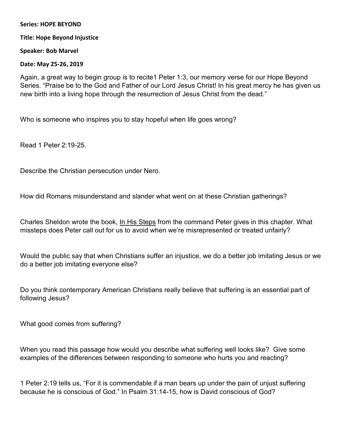## **Series: HOPE BEYOND**

## **Title: Hope Beyond Injustice**

**Speaker: Bob Marvel** 

**Date: May 25-26, 2019** 

Again, a great way to begin group is to recite1 Peter 1:3, our memory verse for our Hope Beyond Series. "Praise be to the God and Father of our Lord Jesus Christ! In his great mercy he has given us new birth into a living hope through the resurrection of Jesus Christ from the dead."

Who is someone who inspires you to stay hopeful when life goes wrong?

Read 1 Peter 2:19-25.

Describe the Christian persecution under Nero.

How did Romans misunderstand and slander what went on at these Christian gatherings?

Charles Sheldon wrote the book, In His Steps from the command Peter gives in this chapter. What missteps does Peter call out for us to avoid when we're misrepresented or treated unfairly?

Would the public say that when Christians suffer an injustice, we do a better job imitating Jesus or we do a better job imitating everyone else?

Do you think contemporary American Christians really believe that suffering is an essential part of following Jesus?

What good comes from suffering?

When you read this passage how would you describe what suffering well looks like? Give some examples of the differences between responding to someone who hurts you and reacting?

1 Peter 2:19 tells us, "For it is commendable if a man bears up under the pain of unjust suffering because he is conscious of God." In Psalm 31:14-15, how is David conscious of God?